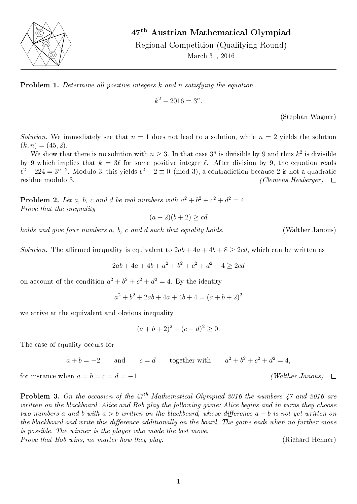

## 47th Austrian Mathematical Olympiad

Regional Competition (Qualifying Round) March 31, 2016



$$
k^2 - 2016 = 3^n.
$$

(Stephan Wagner)

Solution. We immediately see that  $n = 1$  does not lead to a solution, while  $n = 2$  yields the solution  $(k, n) = (45, 2).$ 

We show that there is no solution with  $n \geq 3$ . In that case  $3^n$  is divisible by 9 and thus  $k^2$  is divisible by 9 which implies that  $k = 3\ell$  for some positive integer  $\ell$ . After division by 9, the equation reads  $\ell^2 - 224 = 3^{n-2}$ . Modulo 3, this yields  $\ell^2 - 2 \equiv 0 \pmod{3}$ , a contradiction because 2 is not a quadratic residue modulo 3.  $(Clemens\; Hebrew)$   $\square$ 

**Problem 2.** Let a, b, c and d be real numbers with  $a^2 + b^2 + c^2 + d^2 = 4$ . Prove that the inequality

 $(a+2)(b+2) > cd$ 

holds and give four numbers a, b, c and d such that equality holds. (Walther Janous)

*Solution.* The affirmed inequality is equivalent to  $2ab + 4a + 4b + 8 > 2cd$ , which can be written as

 $2ab + 4a + 4b + a^2 + b^2 + c^2 + d^2 + 4 \geq 2cd$ 

on account of the condition  $a^2 + b^2 + c^2 + d^2 = 4$ . By the identity

$$
a^2 + b^2 + 2ab + 4a + 4b + 4 = (a + b + 2)^2
$$

we arrive at the equivalent and obvious inequality

$$
(a+b+2)^2 + (c-d)^2 \ge 0.
$$

The case of equality occurs for

 $a + b = -2$  and  $c = d$  $b^2 + b^2 + c^2 + d^2 = 4$ ,

for instance when  $a = b = c = d = -1$ . (Walther Janous)

**Problem 3.** On the occasion of the  $47<sup>th</sup> Mathematical Olympiad 2016$  the numbers 47 and 2016 are written on the blackboard. Alice and Bob play the following game: Alice begins and in turns they choose two numbers a and b with  $a > b$  written on the blackboard, whose difference  $a - b$  is not yet written on the blackboard and write this difference additionally on the board. The game ends when no further move is possible. The winner is the player who made the last move. Prove that Bob wins, no matter how they play. The same control (Richard Henner)

 $\Box$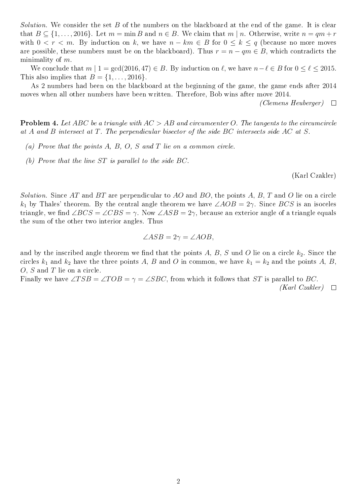*Solution.* We consider the set B of the numbers on the blackboard at the end of the game. It is clear that  $B \subseteq \{1, \ldots, 2016\}$ . Let  $m = \min B$  and  $n \in B$ . We claim that  $m \mid n$ . Otherwise, write  $n = qm + r$ with  $0 \lt r \lt m$ . By induction on k, we have  $n - km \in B$  for  $0 \lt k \lt q$  (because no more moves are possible, these numbers must be on the blackboard). Thus  $r = n - qm \in B$ , which contradicts the minimality of  $m$ .

We conclude that  $m \mid 1 = \gcd(2016, 47) \in B$ . By induction on  $\ell$ , we have  $n - \ell \in B$  for  $0 \le \ell \le 2015$ . This also implies that  $B = \{1, \ldots, 2016\}.$ 

As 2 numbers had been on the blackboard at the beginning of the game, the game ends after 2014 moves when all other numbers have been written. Therefore, Bob wins after move 2014.

(Clemens Heuberger)  $\Box$ 

<span id="page-1-0"></span>**Problem 4.** Let ABC be a triangle with  $AC > AB$  and circumcenter O. The tangents to the circumcircle at A and B intersect at T. The perpendicular bisector of the side BC intersects side AC at S.

- (a) Prove that the points  $A, B, O, S$  and  $T$  lie on a common circle.
- (b) Prove that the line ST is parallel to the side BC.

(Karl Czakler)

Solution. Since AT and BT are perpendicular to AO and BO, the points A, B, T and O lie on a circle  $k_1$  by Thales' theorem. By the central angle theorem we have  $\angle AOB = 2\gamma$ . Since BCS is an isoceles triangle, we find  $\angle BCS = \angle CBS = \gamma$ . Now  $\angle ASB = 2\gamma$ , because an exterior angle of a triangle equals the sum of the other two interior angles. Thus

$$
\angle ASB = 2\gamma = \angle AOB,
$$

and by the inscribed angle theorem we find that the points A, B, S und O lie on a circle  $k_2$ . Since the circles  $k_1$  and  $k_2$  have the three points A, B and O in common, we have  $k_1 = k_2$  and the points A, B, O, S and T lie on a circle.

Finally we have  $\angle TSB = \angle TOB = \gamma = \angle SBC$ , from which it follows that ST is parallel to BC. (Karl Czakler)  $\Box$